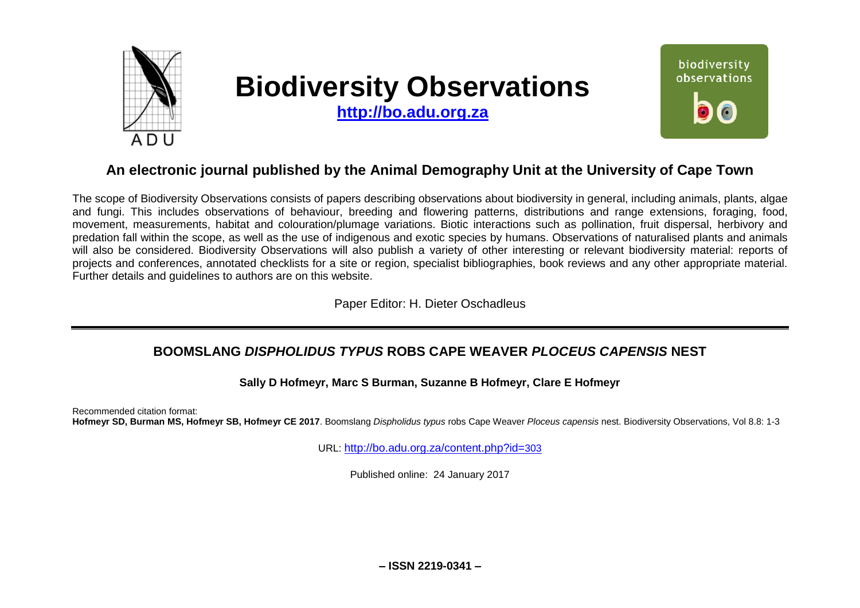

# **Biodiversity Observations**

**[http://bo.adu.org.za](http://bo.adu.org.za/)**



## **An electronic journal published by the Animal Demography Unit at the University of Cape Town**

The scope of Biodiversity Observations consists of papers describing observations about biodiversity in general, including animals, plants, algae and fungi. This includes observations of behaviour, breeding and flowering patterns, distributions and range extensions, foraging, food, movement, measurements, habitat and colouration/plumage variations. Biotic interactions such as pollination, fruit dispersal, herbivory and predation fall within the scope, as well as the use of indigenous and exotic species by humans. Observations of naturalised plants and animals will also be considered. Biodiversity Observations will also publish a variety of other interesting or relevant biodiversity material: reports of projects and conferences, annotated checklists for a site or region, specialist bibliographies, book reviews and any other appropriate material. Further details and guidelines to authors are on this website.

Paper Editor: H. Dieter Oschadleus

## **BOOMSLANG** *DISPHOLIDUS TYPUS* **ROBS CAPE WEAVER** *PLOCEUS CAPENSIS* **NEST**

**Sally D Hofmeyr, Marc S Burman, Suzanne B Hofmeyr, Clare E Hofmeyr**

Recommended citation format: **Hofmeyr SD, Burman MS, Hofmeyr SB, Hofmeyr CE 2017**. Boomslang *Dispholidus typus* robs Cape Weaver *Ploceus capensis* nest. Biodiversity Observations, Vol 8.8: 1-3

URL: [http://bo.adu.org.za/content.php?id=](http://bo.adu.org.za/content.php?id=303)303

Published online: 24 January 2017

**– ISSN 2219-0341 –**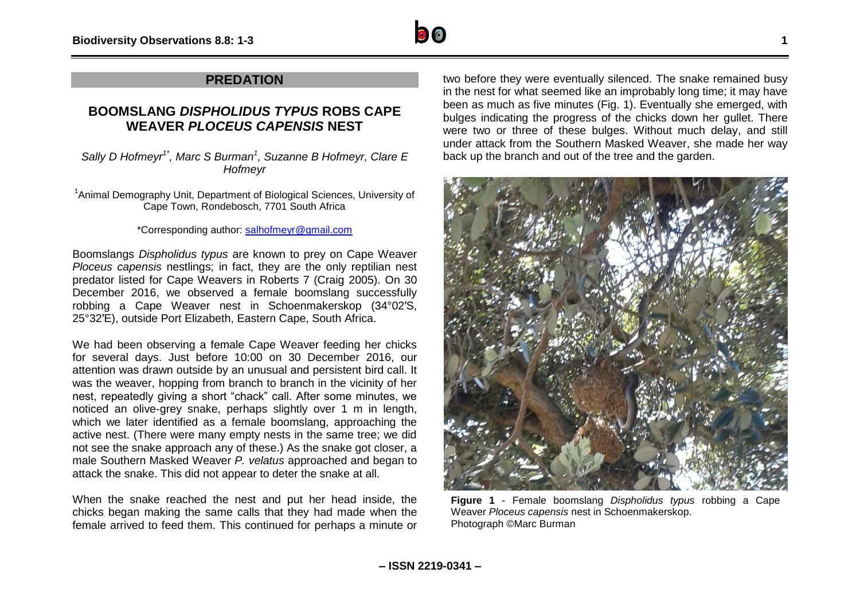

### **PREDATION**

## **BOOMSLANG** *DISPHOLIDUS TYPUS* **ROBS CAPE WEAVER** *PLOCEUS CAPENSIS* **NEST**

*Sally D Hofmeyr1\*, Marc S Burman<sup>1</sup> , Suzanne B Hofmeyr, Clare E Hofmeyr*

<sup>1</sup> Animal Demography Unit, Department of Biological Sciences, University of Cape Town, Rondebosch, 7701 South Africa

#### \*Corresponding author: [salhofmeyr@gmail.com](mailto:salhofmeyr@gmail.com)

Boomslangs *Dispholidus typus* are known to prey on Cape Weaver *Ploceus capensis* nestlings; in fact, they are the only reptilian nest predator listed for Cape Weavers in Roberts 7 (Craig 2005). On 30 December 2016, we observed a female boomslang successfully robbing a Cape Weaver nest in Schoenmakerskop (34°02′S, 25°32′E), outside Port Elizabeth, Eastern Cape, South Africa.

We had been observing a female Cape Weaver feeding her chicks for several days. Just before 10:00 on 30 December 2016, our attention was drawn outside by an unusual and persistent bird call. It was the weaver, hopping from branch to branch in the vicinity of her nest, repeatedly giving a short "chack" call. After some minutes, we noticed an olive-grey snake, perhaps slightly over 1 m in length, which we later identified as a female boomslang, approaching the active nest. (There were many empty nests in the same tree; we did not see the snake approach any of these.) As the snake got closer, a male Southern Masked Weaver *P. velatus* approached and began to attack the snake. This did not appear to deter the snake at all.

When the snake reached the nest and put her head inside, the chicks began making the same calls that they had made when the female arrived to feed them. This continued for perhaps a minute or two before they were eventually silenced. The snake remained busy in the nest for what seemed like an improbably long time; it may have been as much as five minutes (Fig. 1). Eventually she emerged, with bulges indicating the progress of the chicks down her gullet. There were two or three of these bulges. Without much delay, and still under attack from the Southern Masked Weaver, she made her way back up the branch and out of the tree and the garden.



**Figure 1** - Female boomslang *Dispholidus typus* robbing a Cape Weaver *Ploceus capensis* nest in Schoenmakerskop. Photograph ©Marc Burman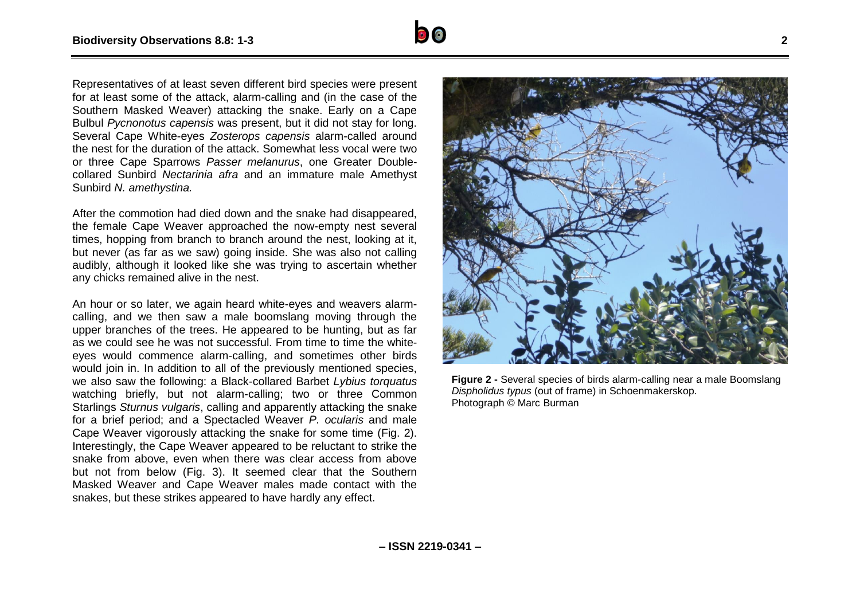Representatives of at least seven different bird species were present for at least some of the attack, alarm-calling and (in the case of the Southern Masked Weaver) attacking the snake. Early on a Cape Bulbul *Pycnonotus capensis* was present, but it did not stay for long. Several Cape White-eyes *Zosterops capensis* alarm-called around the nest for the duration of the attack. Somewhat less vocal were two or three Cape Sparrows *Passer melanurus*, one Greater Doublecollared Sunbird *Nectarinia afra* and an immature male Amethyst Sunbird *N. amethystina.* 

After the commotion had died down and the snake had disappeared, the female Cape Weaver approached the now-empty nest several times, hopping from branch to branch around the nest, looking at it, but never (as far as we saw) going inside. She was also not calling audibly, although it looked like she was trying to ascertain whether any chicks remained alive in the nest.

An hour or so later, we again heard white-eyes and weavers alarmcalling, and we then saw a male boomslang moving through the upper branches of the trees. He appeared to be hunting, but as far as we could see he was not successful. From time to time the whiteeyes would commence alarm-calling, and sometimes other birds would join in. In addition to all of the previously mentioned species, we also saw the following: a Black-collared Barbet *Lybius torquatus* watching briefly, but not alarm-calling; two or three Common Starlings *Sturnus vulgaris*, calling and apparently attacking the snake for a brief period; and a Spectacled Weaver *P. ocularis* and male Cape Weaver vigorously attacking the snake for some time (Fig. 2). Interestingly, the Cape Weaver appeared to be reluctant to strike the snake from above, even when there was clear access from above but not from below (Fig. 3). It seemed clear that the Southern Masked Weaver and Cape Weaver males made contact with the snakes, but these strikes appeared to have hardly any effect.



**Figure 2 -** Several species of birds alarm-calling near a male Boomslang *Dispholidus typus* (out of frame) in Schoenmakerskop. Photograph © Marc Burman